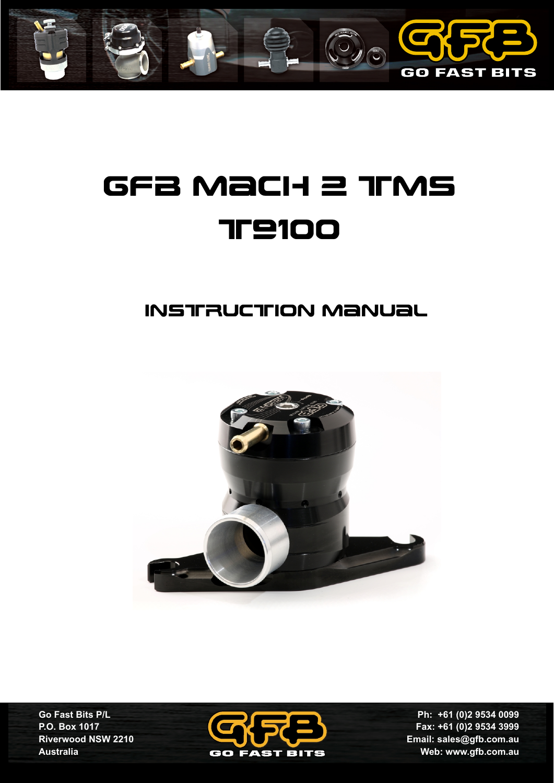

# GFB Mach 2 TMS **TP100**

# instruction manual



**Go Fast Bits P/L P.O. Box 1017 Riverwood NSW 2210 Australia**



**Ph: +61 (0)2 9534 0099 Fax: +61 (0)2 9534 3999 Email: sales@gfb.com.au Web: www.gfb.com.au**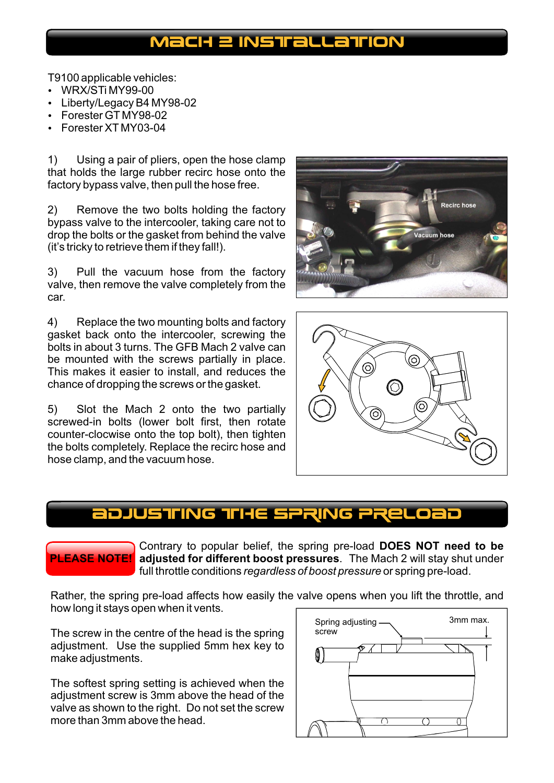### MacH 2 INSTRALLATION

- T9100 applicable vehicles:<br>• WRX/STi MY99-00
- WRX/STi MY99-00<br>• Liberty/Legacy B4 I • Liberty/Legacy B4 MY98-02<br>• Forester GT MY98-02
- 
- ?Forester GT MY98-02 Forester XT MY03-04

1) Using a pair of pliers, open the hose clamp that holds the large rubber recirc hose onto the factory bypass valve, then pull the hose free.

2) Remove the two bolts holding the factory bypass valve to the intercooler, taking care not to drop the bolts or the gasket from behind the valve (it's tricky to retrieve them if they fall!).

3) Pull the vacuum hose from the factory valve, then remove the valve completely from the car.

4) Replace the two mounting bolts and factory gasket back onto the intercooler, screwing the bolts in about 3 turns. The GFB Mach 2 valve can be mounted with the screws partially in place. This makes it easier to install, and reduces the chance of dropping the screws or the gasket.

5) Slot the Mach 2 onto the two partially screwed-in bolts (lower bolt first, then rotate counter-clocwise onto the top bolt), then tighten the bolts completely. Replace the recirc hose and hose clamp, and the vacuum hose.





### ADJUSTING TIHE SPRING PRELOI

**PLEASE NOTE! adjusted for different boost pressures**. The Mach 2 will stay shut under Contrary to popular belief, the spring pre-load **DOES NOT need to be**  full throttle conditions *regardless of boost pressure* or spring pre-load.

Rather, the spring pre-load affects how easily the valve opens when you lift the throttle, and how long it stays open when it vents.

The screw in the centre of the head is the spring adjustment. Use the supplied 5mm hex key to make adjustments.

The softest spring setting is achieved when the adjustment screw is 3mm above the head of the valve as shown to the right. Do not set the screw more than 3mm above the head.

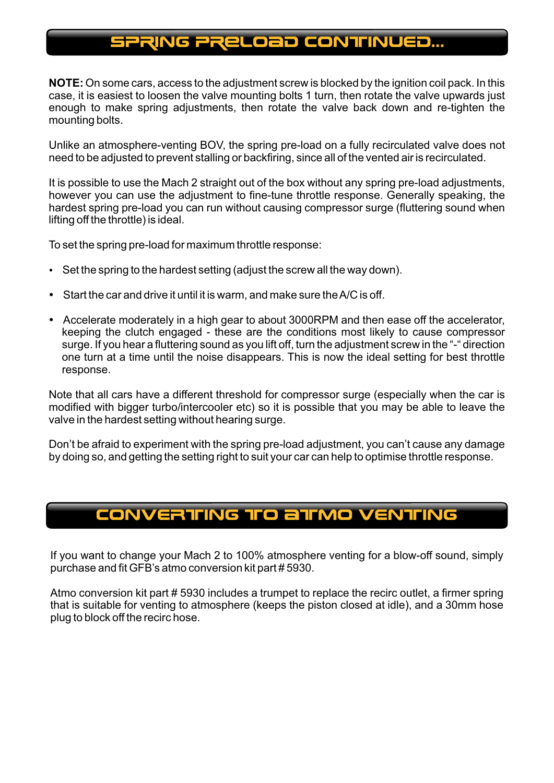### sPRING PRELOAD continued...

**NOTE:** On some cars, access to the adjustment screw is blocked by the ignition coil pack. In this case, it is easiest to loosen the valve mounting bolts 1 turn, then rotate the valve upwards just enough to make spring adjustments, then rotate the valve back down and re-tighten the mounting bolts.

Unlike an atmosphere-venting BOV, the spring pre-load on a fully recirculated valve does not need to be adjusted to prevent stalling or backfiring, since all of the vented air is recirculated.

It is possible to use the Mach 2 straight out of the box without any spring pre-load adjustments, however you can use the adjustment to fine-tune throttle response. Generally speaking, the hardest spring pre-load you can run without causing compressor surge (fluttering sound when lifting off the throttle) is ideal.

- To set the spring pre-load for maximum throttle response:<br>• Set the spring to the hardest setting (adjust the screw a
- Set the spring to the hardest setting (adjust the screw all the way down).<br>• Start the car and drive it until it is warm, and make sure the A/C is off.
- ?Start the car and drive it until it is warm, and make sure the A/C is off. Accelerate moderately in a high gear to about 3000RPM and then ease off the accelerator, keeping the clutch engaged - these are the conditions most likely to cause compressor surge. If you hear a fluttering sound as you lift off, turn the adjustment screw in the "-" direction one turn at a time until the noise disappears. This is now the ideal setting for best throttle response.

Note that all cars have a different threshold for compressor surge (especially when the car is modified with bigger turbo/intercooler etc) so it is possible that you may be able to leave the valve in the hardest setting without hearing surge.

Don't be afraid to experiment with the spring pre-load adjustment, you can't cause any damage by doing so, and getting the setting right to suit your car can help to optimise throttle response.

## converting to atmo venting

If you want to change your Mach 2 to 100% atmosphere venting for a blow-off sound, simply purchase and fit GFB's atmo conversion kit part # 5930.

Atmo conversion kit part # 5930 includes a trumpet to replace the recirc outlet, a firmer spring that is suitable for venting to atmosphere (keeps the piston closed at idle), and a 30mm hose plug to block off the recirc hose.